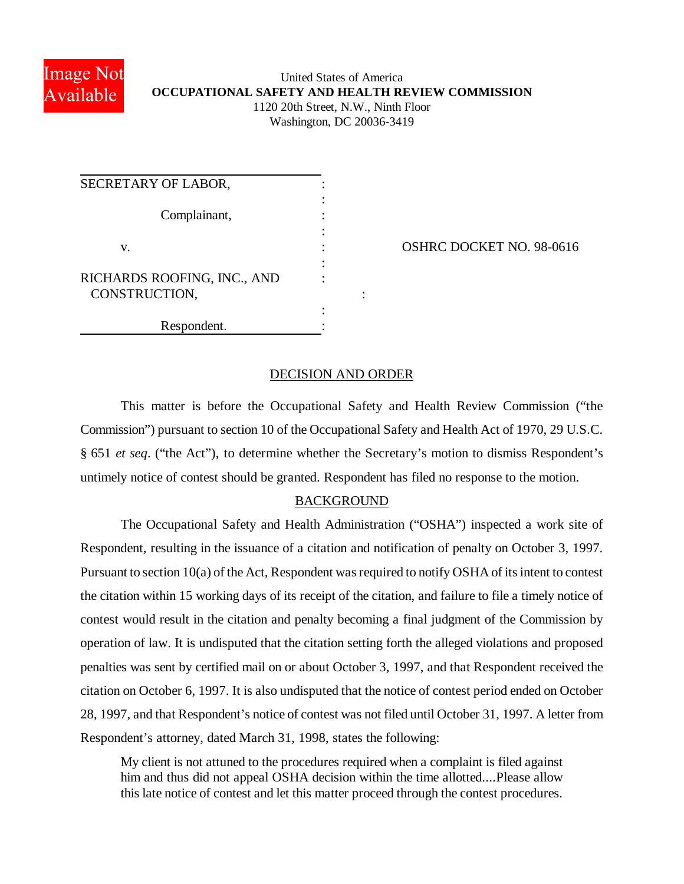

# United States of America **OCCUPATIONAL SAFETY AND HEALTH REVIEW COMMISSION** 1120 20th Street, N.W., Ninth Floor Washington, DC 20036-3419

| SECRETARY OF LABOR,          |  |
|------------------------------|--|
|                              |  |
| Complainant,                 |  |
|                              |  |
| V.                           |  |
|                              |  |
| RICHARDS ROOFING, INC., AND  |  |
|                              |  |
|                              |  |
| CONSTRUCTION,<br>Respondent. |  |

OSHRC DOCKET NO. 98-0616

## DECISION AND ORDER

This matter is before the Occupational Safety and Health Review Commission ("the Commission") pursuant to section 10 of the Occupational Safety and Health Act of 1970, 29 U.S.C. § 651 *et seq*. ("the Act"), to determine whether the Secretary's motion to dismiss Respondent's untimely notice of contest should be granted. Respondent has filed no response to the motion.

### BACKGROUND

The Occupational Safety and Health Administration ("OSHA") inspected a work site of Respondent, resulting in the issuance of a citation and notification of penalty on October 3, 1997. Pursuant to section 10(a) of the Act, Respondent was required to notify OSHA of its intent to contest the citation within 15 working days of its receipt of the citation, and failure to file a timely notice of contest would result in the citation and penalty becoming a final judgment of the Commission by operation of law. It is undisputed that the citation setting forth the alleged violations and proposed penalties was sent by certified mail on or about October 3, 1997, and that Respondent received the citation on October 6, 1997. It is also undisputed that the notice of contest period ended on October 28, 1997, and that Respondent's notice of contest was not filed until October 31, 1997. A letter from Respondent's attorney, dated March 31, 1998, states the following:

My client is not attuned to the procedures required when a complaint is filed against him and thus did not appeal OSHA decision within the time allotted....Please allow this late notice of contest and let this matter proceed through the contest procedures.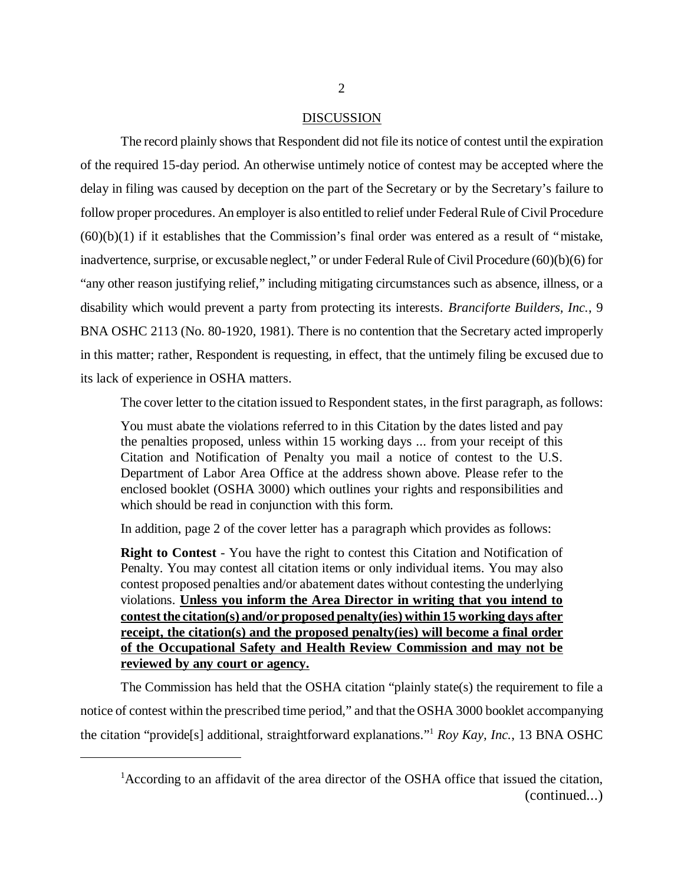### DISCUSSION

The record plainly shows that Respondent did not file its notice of contest until the expiration of the required 15-day period. An otherwise untimely notice of contest may be accepted where the delay in filing was caused by deception on the part of the Secretary or by the Secretary's failure to follow proper procedures. An employer is also entitled to relief under Federal Rule of Civil Procedure  $(60)(b)(1)$  if it establishes that the Commission's final order was entered as a result of "mistake, inadvertence, surprise, or excusable neglect," or under Federal Rule of Civil Procedure (60)(b)(6) for "any other reason justifying relief," including mitigating circumstances such as absence, illness, or a disability which would prevent a party from protecting its interests. *Branciforte Builders, Inc.*, 9 BNA OSHC 2113 (No. 80-1920, 1981). There is no contention that the Secretary acted improperly in this matter; rather, Respondent is requesting, in effect, that the untimely filing be excused due to its lack of experience in OSHA matters.

The cover letter to the citation issued to Respondent states, in the first paragraph, as follows:

You must abate the violations referred to in this Citation by the dates listed and pay the penalties proposed, unless within 15 working days ... from your receipt of this Citation and Notification of Penalty you mail a notice of contest to the U.S. Department of Labor Area Office at the address shown above. Please refer to the enclosed booklet (OSHA 3000) which outlines your rights and responsibilities and which should be read in conjunction with this form.

In addition, page 2 of the cover letter has a paragraph which provides as follows:

**Right to Contest** - You have the right to contest this Citation and Notification of Penalty. You may contest all citation items or only individual items. You may also contest proposed penalties and/or abatement dates without contesting the underlying violations. **Unless you inform the Area Director in writing that you intend to contest the citation(s) and/or proposed penalty(ies) within 15 working days after receipt, the citation(s) and the proposed penalty(ies) will become a final order of the Occupational Safety and Health Review Commission and may not be reviewed by any court or agency.**

The Commission has held that the OSHA citation "plainly state(s) the requirement to file a notice of contest within the prescribed time period," and that the OSHA 3000 booklet accompanying the citation "provide[s] additional, straightforward explanations." <sup>1</sup> *Roy Kay, Inc.*, 13 BNA OSHC

<sup>&</sup>lt;sup>1</sup> According to an affidavit of the area director of the OSHA office that issued the citation, (continued...)